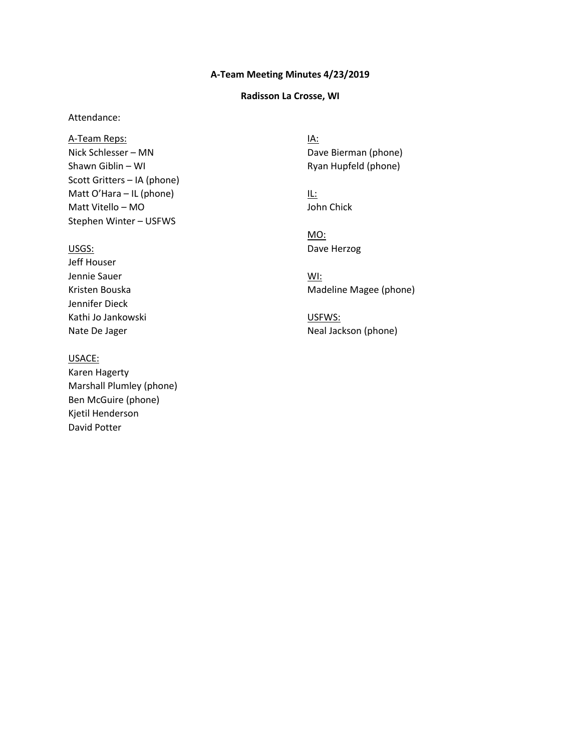# **A-Team Meeting Minutes 4/23/2019 Radisson La Crosse, WI**

### **Radisson La Crosse, WI**

#### Attendance:

 Nick Schlesser – MN Shawn Giblin – WI Scott Gritters – IA (phone) Matt O'Hara – IL (phone) Matt Vitello – MO Stephen Winter – USFWS A-Team Reps:

#### USGS:

Jeff Houser Jennie Sauer Kristen Bouska Jennifer Dieck Kathi Jo Jankowski Nate De Jager

#### USACE:

 Marshall Plumley (phone) Ben McGuire (phone) David Potter Karen Hagerty Kjetil Henderson

 Dave Bierman (phone) Ryan Hupfeld (phone) IA:

IL: John Chick

MO: Dave Herzog

 Madeline Magee (phone) WI:

 Neal Jackson (phone) USFWS: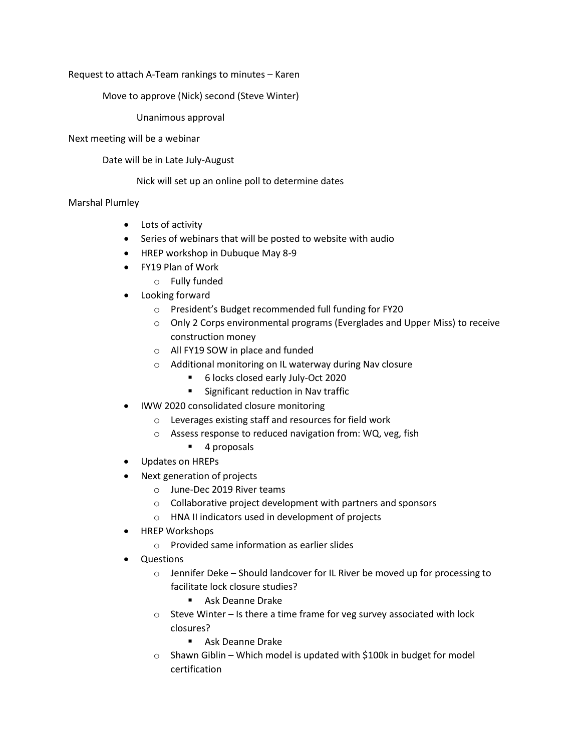Request to attach A-Team rankings to minutes – Karen

Move to approve (Nick) second (Steve Winter)

Unanimous approval

### Next meeting will be a webinar

Date will be in Late July-August

Nick will set up an online poll to determine dates

## Marshal Plumley

- Lots of activity
- Series of webinars that will be posted to website with audio
- HREP workshop in Dubuque May 8-9
- FY19 Plan of Work
	- o Fully funded
- Looking forward
	- o President's Budget recommended full funding for FY20
	- construction money o Only 2 Corps environmental programs (Everglades and Upper Miss) to receive
	- o All FY19 SOW in place and funded
	- o Additional monitoring on IL waterway during Nav closure
		- 6 locks closed early July-Oct 2020
		- **Significant reduction in Nav traffic**
- IWW 2020 consolidated closure monitoring
	- o Leverages existing staff and resources for field work
	- o Assess response to reduced navigation from: WQ, veg, fish
		- 4 proposals
- Updates on HREPs
- Next generation of projects
	- o June-Dec 2019 River teams
	- o Collaborative project development with partners and sponsors
	- o HNA II indicators used in development of projects
- HREP Workshops
	- o Provided same information as earlier slides
- Questions
	- o Jennifer Deke Should landcover for IL River be moved up for processing to facilitate lock closure studies?
		- **Ask Deanne Drake**
	- o Steve Winter Is there a time frame for veg survey associated with lock closures?
		- Ask Deanne Drake
	- $\circ$  Shawn Giblin Which model is updated with \$100k in budget for model certification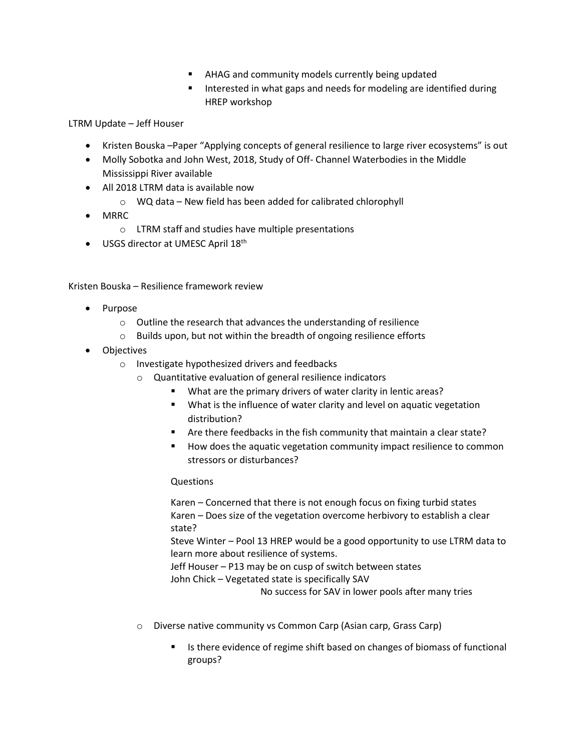- AHAG and community models currently being updated
- HREP workshop **IF** Interested in what gaps and needs for modeling are identified during

LTRM Update – Jeff Houser

- Kristen Bouska –Paper "Applying concepts of general resilience to large river ecosystems" is out
- Molly Sobotka and John West, 2018, Study of Off- Channel Waterbodies in the Middle Mississippi River available
- All 2018 LTRM data is available now
	- $\circ$  WQ data New field has been added for calibrated chlorophyll
- MRRC
	- o LTRM staff and studies have multiple presentations
- USGS director at UMESC April 18<sup>th</sup>

Kristen Bouska – Resilience framework review

- Purpose
	- o Outline the research that advances the understanding of resilience
	- o Builds upon, but not within the breadth of ongoing resilience efforts
- Objectives
	- o Investigate hypothesized drivers and feedbacks
		- o Quantitative evaluation of general resilience indicators
			- What are the primary drivers of water clarity in lentic areas?
			- What is the influence of water clarity and level on aquatic vegetation distribution?
			- Are there feedbacks in the fish community that maintain a clear state?
			- How does the aquatic vegetation community impact resilience to common stressors or disturbances?

### Questions

 Karen – Concerned that there is not enough focus on fixing turbid states Karen – Does size of the vegetation overcome herbivory to establish a clear state?

Steve Winter – Pool 13 HREP would be a good opportunity to use LTRM data to learn more about resilience of systems.

 Jeff Houser – P13 may be on cusp of switch between states John Chick – Vegetated state is specifically SAV

No success for SAV in lower pools after many tries

- o Diverse native community vs Common Carp (Asian carp, Grass Carp)
	- Is there evidence of regime shift based on changes of biomass of functional groups?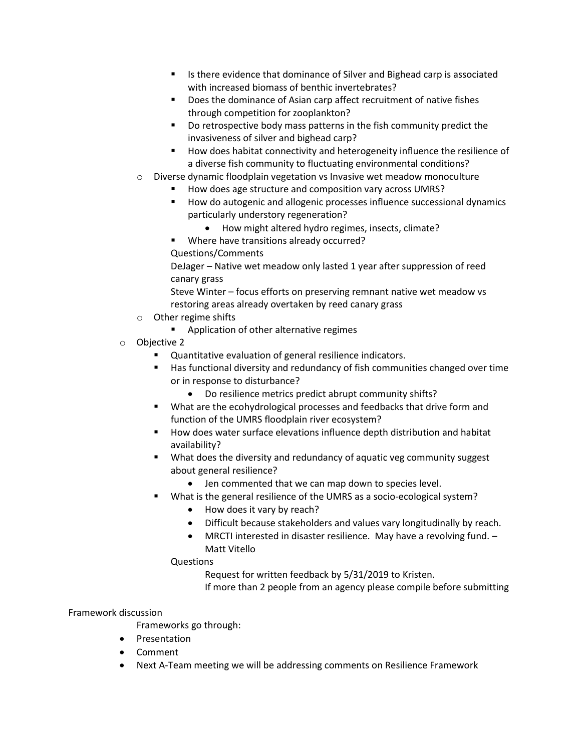- Is there evidence that dominance of Silver and Bighead carp is associated with increased biomass of benthic invertebrates?
- Does the dominance of Asian carp affect recruitment of native fishes through competition for zooplankton?
- Do retrospective body mass patterns in the fish community predict the invasiveness of silver and bighead carp?
- **How does habitat connectivity and heterogeneity influence the resilience of** a diverse fish community to fluctuating environmental conditions?
- o Diverse dynamic floodplain vegetation vs Invasive wet meadow monoculture
	- How does age structure and composition vary across UMRS?
	- **How do autogenic and allogenic processes influence successional dynamics** particularly understory regeneration?
		- How might altered hydro regimes, insects, climate?
	- **Where have transitions already occurred?**
	- Questions/Comments

DeJager – Native wet meadow only lasted 1 year after suppression of reed canary grass

Steve Winter – focus efforts on preserving remnant native wet meadow vs restoring areas already overtaken by reed canary grass

- o Other regime shifts
	- **Application of other alternative regimes**
- o Objective 2
	- Quantitative evaluation of general resilience indicators.
	- Has functional diversity and redundancy of fish communities changed over time or in response to disturbance?
		- Do resilience metrics predict abrupt community shifts?
	- **What are the ecohydrological processes and feedbacks that drive form and** function of the UMRS floodplain river ecosystem?
	- How does water surface elevations influence depth distribution and habitat availability?
	- What does the diversity and redundancy of aquatic veg community suggest about general resilience?
		- Jen commented that we can map down to species level.
		- What is the general resilience of the UMRS as a socio-ecological system?
			- How does it vary by reach?
			- Difficult because stakeholders and values vary longitudinally by reach.
			- MRCTI interested in disaster resilience. May have a revolving fund. Matt Vitello

### Questions

Request for written feedback by 5/31/2019 to Kristen.

If more than 2 people from an agency please compile before submitting

### Framework discussion

Frameworks go through:

- **•** Presentation
- Comment
- Next A-Team meeting we will be addressing comments on Resilience Framework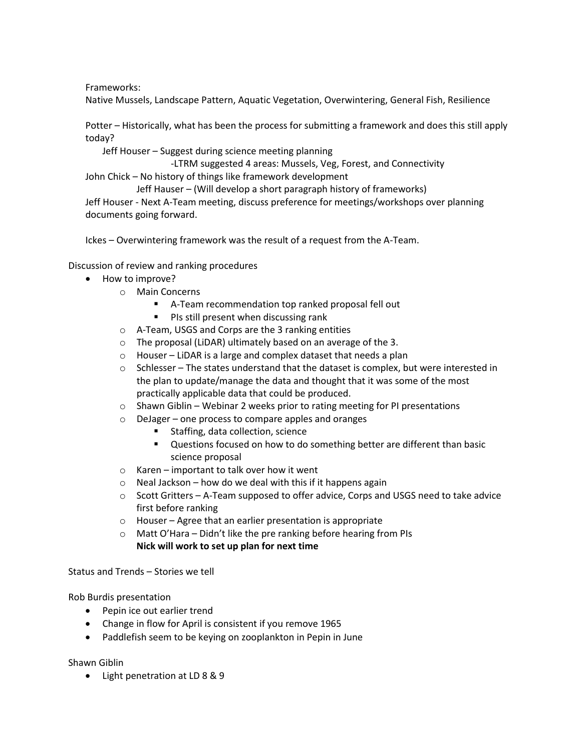Frameworks:

Native Mussels, Landscape Pattern, Aquatic Vegetation, Overwintering, General Fish, Resilience

 Potter – Historically, what has been the process for submitting a framework and does this still apply today?

Jeff Houser – Suggest during science meeting planning

 John Chick – No history of things like framework development -LTRM suggested 4 areas: Mussels, Veg, Forest, and Connectivity

 Jeff Houser - Next A-Team meeting, discuss preference for meetings/workshops over planning Jeff Hauser – (Will develop a short paragraph history of frameworks) documents going forward.

Ickes – Overwintering framework was the result of a request from the A-Team.

Discussion of review and ranking procedures

- How to improve?
	- o Main Concerns
		- A-Team recommendation top ranked proposal fell out
		- **PIS still present when discussing rank**
	- o A-Team, USGS and Corps are the 3 ranking entities
	- $\circ$  The proposal (LiDAR) ultimately based on an average of the 3.
	- o Houser LiDAR is a large and complex dataset that needs a plan
	- practically applicable data that could be produced.  $\circ$  Schlesser – The states understand that the dataset is complex, but were interested in the plan to update/manage the data and thought that it was some of the most
	- $\circ$  Shawn Giblin Webinar 2 weeks prior to rating meeting for PI presentations
	- o DeJager one process to compare apples and oranges
		- Staffing, data collection, science
		- Questions focused on how to do something better are different than basic science proposal
	- o Karen important to talk over how it went
	- $\circ$  Neal Jackson how do we deal with this if it happens again
	- $\circ$  Scott Gritters A-Team supposed to offer advice, Corps and USGS need to take advice first before ranking
	- o Houser Agree that an earlier presentation is appropriate
	- **Nick will work to set up plan for next time** o Matt O'Hara – Didn't like the pre ranking before hearing from PIs

Status and Trends – Stories we tell

Rob Burdis presentation

- Pepin ice out earlier trend
- Change in flow for April is consistent if you remove 1965
- Paddlefish seem to be keying on zooplankton in Pepin in June

Shawn Giblin

Light penetration at LD 8 & 9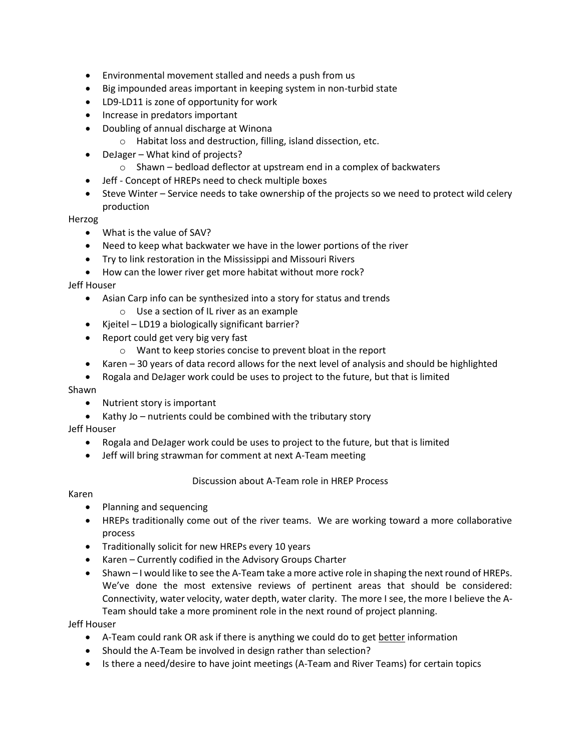- Environmental movement stalled and needs a push from us
- Big impounded areas important in keeping system in non-turbid state
- LD9-LD11 is zone of opportunity for work
- Increase in predators important
- Doubling of annual discharge at Winona
	- o Habitat loss and destruction, filling, island dissection, etc.
- DeJager What kind of projects?
	- $\circ$  Shawn bedload deflector at upstream end in a complex of backwaters
- Jeff Concept of HREPs need to check multiple boxes
- Steve Winter Service needs to take ownership of the projects so we need to protect wild celery production

Herzog

- What is the value of SAV?
- Need to keep what backwater we have in the lower portions of the river
- Try to link restoration in the Mississippi and Missouri Rivers
- How can the lower river get more habitat without more rock?

Jeff Houser

- Asian Carp info can be synthesized into a story for status and trends
- o Use a section of IL river as an example
- Kjeitel LD19 a biologically significant barrier?
- Report could get very big very fast
	- o Want to keep stories concise to prevent bloat in the report
- Karen 30 years of data record allows for the next level of analysis and should be highlighted
- Rogala and DeJager work could be uses to project to the future, but that is limited

Shawn

- Nutrient story is important
- Kathy Jo nutrients could be combined with the tributary story

Jeff Houser

- Rogala and DeJager work could be uses to project to the future, but that is limited
- Jeff will bring strawman for comment at next A-Team meeting

Discussion about A-Team role in HREP Process

Karen

- Planning and sequencing
- HREPs traditionally come out of the river teams. We are working toward a more collaborative process
- Traditionally solicit for new HREPs every 10 years
- Karen Currently codified in the Advisory Groups Charter
- Shawn I would like to see the A-Team take a more active role in shaping the next round of HREPs. We've done the most extensive reviews of pertinent areas that should be considered: Connectivity, water velocity, water depth, water clarity. The more I see, the more I believe the A-Team should take a more prominent role in the next round of project planning.

Jeff Houser

- A-Team could rank OR ask if there is anything we could do to get better information
- Should the A-Team be involved in design rather than selection?
- Is there a need/desire to have joint meetings (A-Team and River Teams) for certain topics